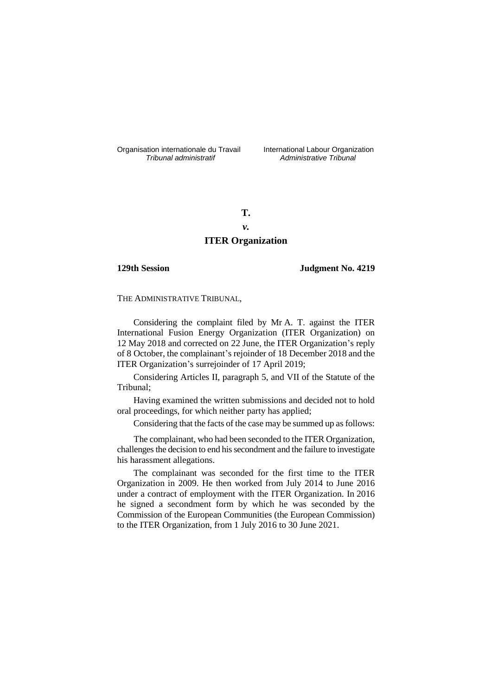Organisation internationale du Travail liternational Labour Organization<br> *Tribunal administratif Administrative Tribunal* 

*Tribunal administratif Administrative Tribunal*

**T.**

# *v.*

# **ITER Organization**

### **129th Session Judgment No. 4219**

THE ADMINISTRATIVE TRIBUNAL,

Considering the complaint filed by Mr A. T. against the ITER International Fusion Energy Organization (ITER Organization) on 12 May 2018 and corrected on 22 June, the ITER Organization's reply of 8 October, the complainant's rejoinder of 18 December 2018 and the ITER Organization's surrejoinder of 17 April 2019;

Considering Articles II, paragraph 5, and VII of the Statute of the Tribunal;

Having examined the written submissions and decided not to hold oral proceedings, for which neither party has applied;

Considering that the facts of the case may be summed up as follows:

The complainant, who had been seconded to the ITER Organization, challenges the decision to end his secondment and the failure to investigate his harassment allegations.

The complainant was seconded for the first time to the ITER Organization in 2009. He then worked from July 2014 to June 2016 under a contract of employment with the ITER Organization. In 2016 he signed a secondment form by which he was seconded by the Commission of the European Communities (the European Commission) to the ITER Organization, from 1 July 2016 to 30 June 2021.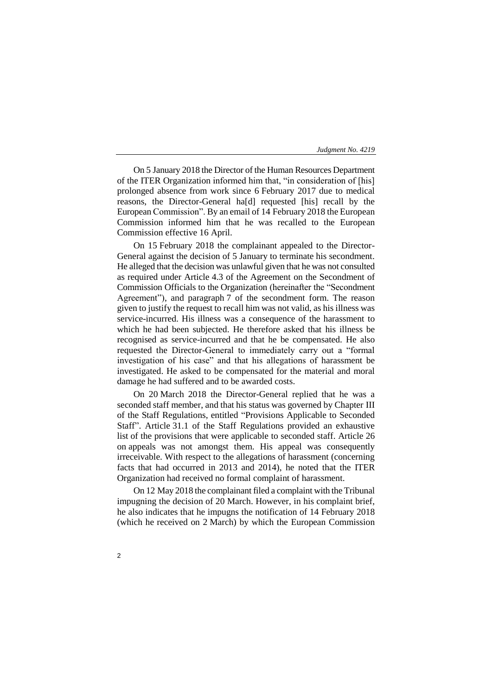On 5 January 2018 the Director of the Human Resources Department of the ITER Organization informed him that, "in consideration of [his] prolonged absence from work since 6 February 2017 due to medical reasons, the Director-General ha[d] requested [his] recall by the European Commission". By an email of 14 February 2018 the European Commission informed him that he was recalled to the European Commission effective 16 April.

On 15 February 2018 the complainant appealed to the Director-General against the decision of 5 January to terminate his secondment. He alleged that the decision was unlawful given that he was not consulted as required under Article 4.3 of the Agreement on the Secondment of Commission Officials to the Organization (hereinafter the "Secondment Agreement"), and paragraph 7 of the secondment form. The reason given to justify the request to recall him was not valid, as his illness was service-incurred. His illness was a consequence of the harassment to which he had been subjected. He therefore asked that his illness be recognised as service-incurred and that he be compensated. He also requested the Director-General to immediately carry out a "formal investigation of his case" and that his allegations of harassment be investigated. He asked to be compensated for the material and moral damage he had suffered and to be awarded costs.

On 20 March 2018 the Director-General replied that he was a seconded staff member, and that his status was governed by Chapter III of the Staff Regulations, entitled "Provisions Applicable to Seconded Staff". Article 31.1 of the Staff Regulations provided an exhaustive list of the provisions that were applicable to seconded staff. Article 26 on appeals was not amongst them. His appeal was consequently irreceivable. With respect to the allegations of harassment (concerning facts that had occurred in 2013 and 2014), he noted that the ITER Organization had received no formal complaint of harassment.

On 12 May 2018 the complainant filed a complaint with the Tribunal impugning the decision of 20 March. However, in his complaint brief, he also indicates that he impugns the notification of 14 February 2018 (which he received on 2 March) by which the European Commission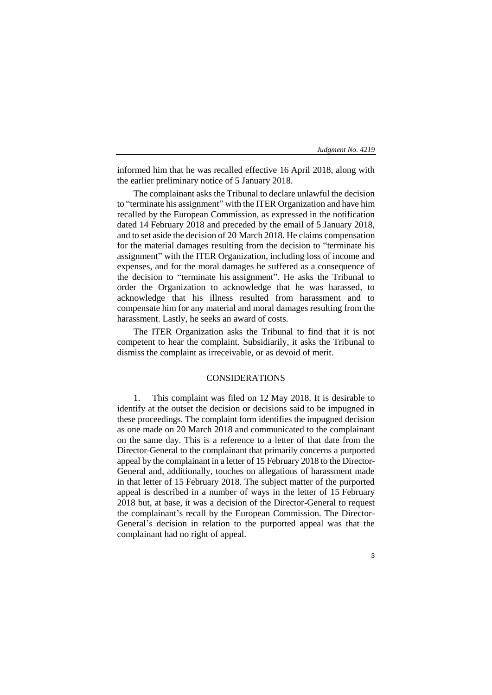informed him that he was recalled effective 16 April 2018, along with the earlier preliminary notice of 5 January 2018.

The complainant asks the Tribunal to declare unlawful the decision to "terminate his assignment" with the ITER Organization and have him recalled by the European Commission, as expressed in the notification dated 14 February 2018 and preceded by the email of 5 January 2018, and to set aside the decision of 20 March 2018. He claims compensation for the material damages resulting from the decision to "terminate his assignment" with the ITER Organization, including loss of income and expenses, and for the moral damages he suffered as a consequence of the decision to "terminate his assignment". He asks the Tribunal to order the Organization to acknowledge that he was harassed, to acknowledge that his illness resulted from harassment and to compensate him for any material and moral damages resulting from the harassment. Lastly, he seeks an award of costs.

The ITER Organization asks the Tribunal to find that it is not competent to hear the complaint. Subsidiarily, it asks the Tribunal to dismiss the complaint as irreceivable, or as devoid of merit.

## CONSIDERATIONS

1. This complaint was filed on 12 May 2018. It is desirable to identify at the outset the decision or decisions said to be impugned in these proceedings. The complaint form identifies the impugned decision as one made on 20 March 2018 and communicated to the complainant on the same day. This is a reference to a letter of that date from the Director-General to the complainant that primarily concerns a purported appeal by the complainant in a letter of 15 February 2018 to the Director-General and, additionally, touches on allegations of harassment made in that letter of 15 February 2018. The subject matter of the purported appeal is described in a number of ways in the letter of 15 February 2018 but, at base, it was a decision of the Director-General to request the complainant's recall by the European Commission. The Director-General's decision in relation to the purported appeal was that the complainant had no right of appeal.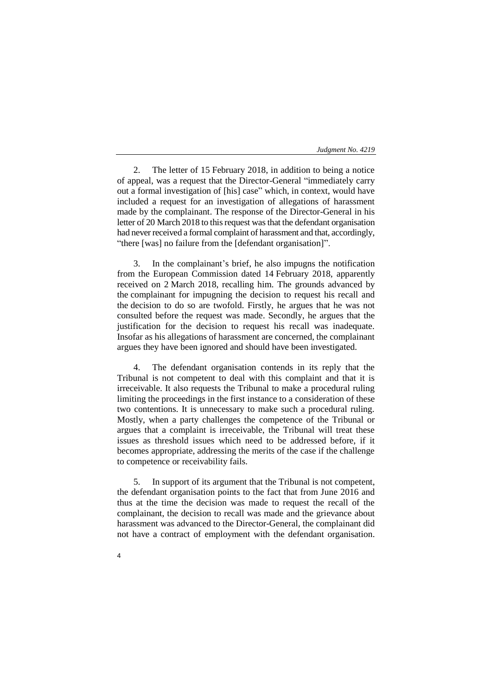2. The letter of 15 February 2018, in addition to being a notice of appeal, was a request that the Director-General "immediately carry out a formal investigation of [his] case" which, in context, would have included a request for an investigation of allegations of harassment made by the complainant. The response of the Director-General in his letter of 20 March 2018 to this request was that the defendant organisation had never received a formal complaint of harassment and that, accordingly, "there [was] no failure from the [defendant organisation]".

3. In the complainant's brief, he also impugns the notification from the European Commission dated 14 February 2018, apparently received on 2 March 2018, recalling him. The grounds advanced by the complainant for impugning the decision to request his recall and the decision to do so are twofold. Firstly, he argues that he was not consulted before the request was made. Secondly, he argues that the justification for the decision to request his recall was inadequate. Insofar as his allegations of harassment are concerned, the complainant argues they have been ignored and should have been investigated.

4. The defendant organisation contends in its reply that the Tribunal is not competent to deal with this complaint and that it is irreceivable. It also requests the Tribunal to make a procedural ruling limiting the proceedings in the first instance to a consideration of these two contentions. It is unnecessary to make such a procedural ruling. Mostly, when a party challenges the competence of the Tribunal or argues that a complaint is irreceivable, the Tribunal will treat these issues as threshold issues which need to be addressed before, if it becomes appropriate, addressing the merits of the case if the challenge to competence or receivability fails.

5. In support of its argument that the Tribunal is not competent, the defendant organisation points to the fact that from June 2016 and thus at the time the decision was made to request the recall of the complainant, the decision to recall was made and the grievance about harassment was advanced to the Director-General, the complainant did not have a contract of employment with the defendant organisation.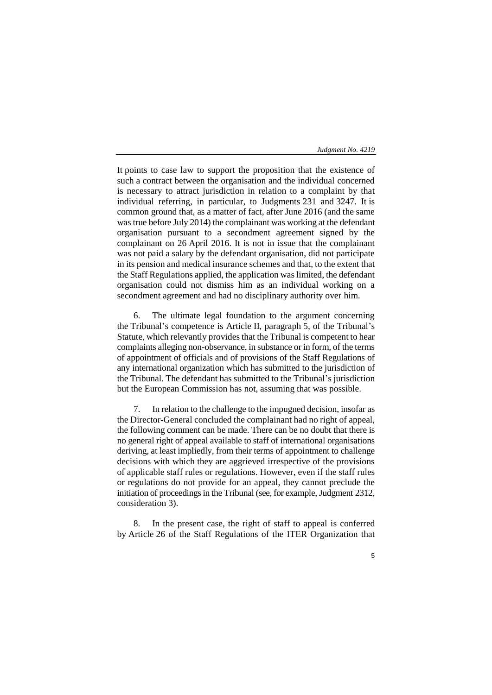5

It points to case law to support the proposition that the existence of such a contract between the organisation and the individual concerned is necessary to attract jurisdiction in relation to a complaint by that individual referring, in particular, to Judgments 231 and 3247. It is common ground that, as a matter of fact, after June 2016 (and the same was true before July 2014) the complainant was working at the defendant organisation pursuant to a secondment agreement signed by the complainant on 26 April 2016. It is not in issue that the complainant was not paid a salary by the defendant organisation, did not participate in its pension and medical insurance schemes and that, to the extent that the Staff Regulations applied, the application was limited, the defendant organisation could not dismiss him as an individual working on a secondment agreement and had no disciplinary authority over him.

6. The ultimate legal foundation to the argument concerning the Tribunal's competence is Article II, paragraph 5, of the Tribunal's Statute, which relevantly provides that the Tribunal is competent to hear complaints alleging non-observance, in substance or in form, of the terms of appointment of officials and of provisions of the Staff Regulations of any international organization which has submitted to the jurisdiction of the Tribunal. The defendant has submitted to the Tribunal's jurisdiction but the European Commission has not, assuming that was possible.

7. In relation to the challenge to the impugned decision, insofar as the Director-General concluded the complainant had no right of appeal, the following comment can be made. There can be no doubt that there is no general right of appeal available to staff of international organisations deriving, at least impliedly, from their terms of appointment to challenge decisions with which they are aggrieved irrespective of the provisions of applicable staff rules or regulations. However, even if the staff rules or regulations do not provide for an appeal, they cannot preclude the initiation of proceedings in the Tribunal (see, for example, Judgment 2312, consideration 3).

8. In the present case, the right of staff to appeal is conferred by Article 26 of the Staff Regulations of the ITER Organization that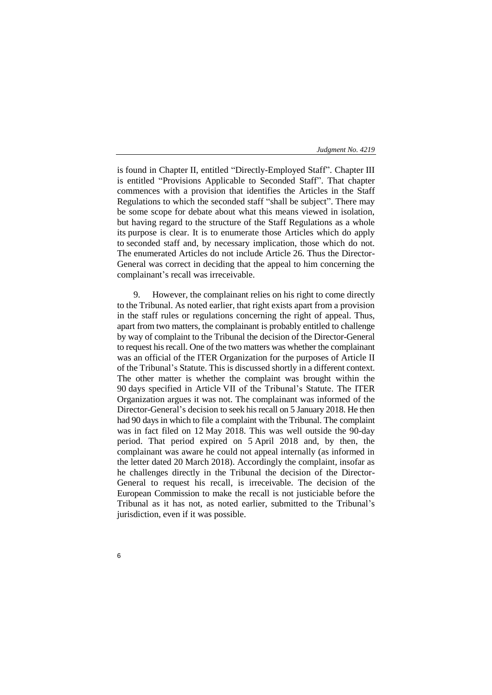is found in Chapter II, entitled "Directly-Employed Staff". Chapter III is entitled "Provisions Applicable to Seconded Staff". That chapter commences with a provision that identifies the Articles in the Staff Regulations to which the seconded staff "shall be subject". There may be some scope for debate about what this means viewed in isolation, but having regard to the structure of the Staff Regulations as a whole its purpose is clear. It is to enumerate those Articles which do apply to seconded staff and, by necessary implication, those which do not. The enumerated Articles do not include Article 26. Thus the Director-General was correct in deciding that the appeal to him concerning the complainant's recall was irreceivable.

9. However, the complainant relies on his right to come directly to the Tribunal. As noted earlier, that right exists apart from a provision in the staff rules or regulations concerning the right of appeal. Thus, apart from two matters, the complainant is probably entitled to challenge by way of complaint to the Tribunal the decision of the Director-General to request his recall. One of the two matters was whether the complainant was an official of the ITER Organization for the purposes of Article II of the Tribunal's Statute. This is discussed shortly in a different context. The other matter is whether the complaint was brought within the 90 days specified in Article VII of the Tribunal's Statute. The ITER Organization argues it was not. The complainant was informed of the Director-General's decision to seek his recall on 5 January 2018. He then had 90 days in which to file a complaint with the Tribunal. The complaint was in fact filed on 12 May 2018. This was well outside the 90-day period. That period expired on 5 April 2018 and, by then, the complainant was aware he could not appeal internally (as informed in the letter dated 20 March 2018). Accordingly the complaint, insofar as he challenges directly in the Tribunal the decision of the Director-General to request his recall, is irreceivable. The decision of the European Commission to make the recall is not justiciable before the Tribunal as it has not, as noted earlier, submitted to the Tribunal's jurisdiction, even if it was possible.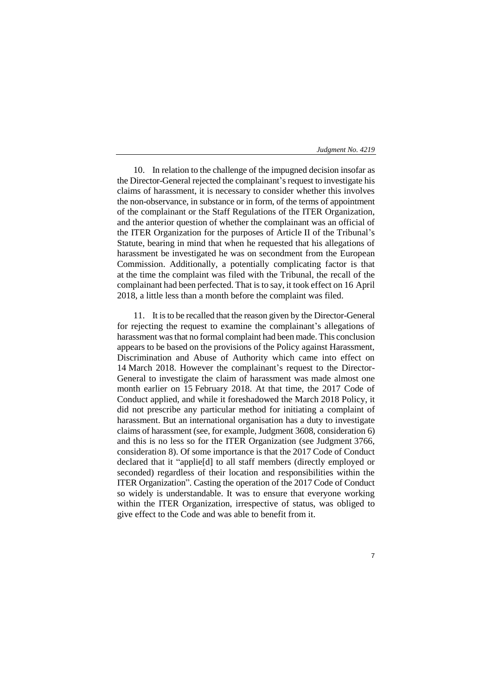10. In relation to the challenge of the impugned decision insofar as the Director-General rejected the complainant's request to investigate his claims of harassment, it is necessary to consider whether this involves the non-observance, in substance or in form, of the terms of appointment of the complainant or the Staff Regulations of the ITER Organization, and the anterior question of whether the complainant was an official of the ITER Organization for the purposes of Article II of the Tribunal's Statute, bearing in mind that when he requested that his allegations of harassment be investigated he was on secondment from the European Commission. Additionally, a potentially complicating factor is that at the time the complaint was filed with the Tribunal, the recall of the complainant had been perfected. That is to say, it took effect on 16 April 2018, a little less than a month before the complaint was filed.

11. It is to be recalled that the reason given by the Director-General for rejecting the request to examine the complainant's allegations of harassment was that no formal complaint had been made. This conclusion appears to be based on the provisions of the Policy against Harassment, Discrimination and Abuse of Authority which came into effect on 14 March 2018. However the complainant's request to the Director-General to investigate the claim of harassment was made almost one month earlier on 15 February 2018. At that time, the 2017 Code of Conduct applied, and while it foreshadowed the March 2018 Policy, it did not prescribe any particular method for initiating a complaint of harassment. But an international organisation has a duty to investigate claims of harassment (see, for example, Judgment 3608, consideration 6) and this is no less so for the ITER Organization (see Judgment 3766, consideration 8). Of some importance is that the 2017 Code of Conduct declared that it "applie[d] to all staff members (directly employed or seconded) regardless of their location and responsibilities within the ITER Organization". Casting the operation of the 2017 Code of Conduct so widely is understandable. It was to ensure that everyone working within the ITER Organization, irrespective of status, was obliged to give effect to the Code and was able to benefit from it.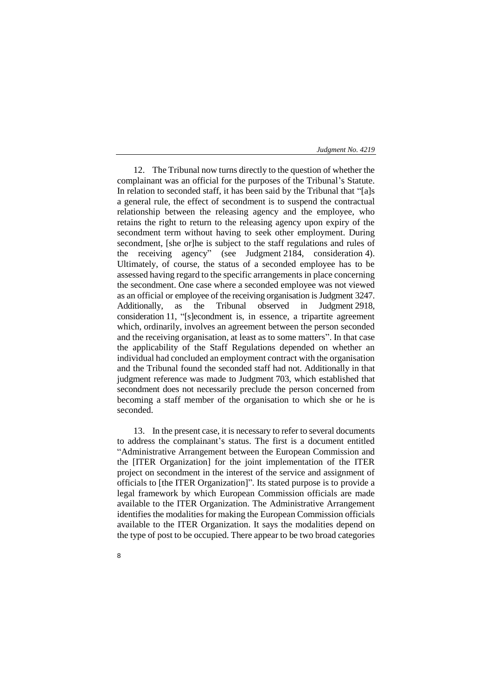12. The Tribunal now turns directly to the question of whether the complainant was an official for the purposes of the Tribunal's Statute. In relation to seconded staff, it has been said by the Tribunal that "[a]s a general rule, the effect of secondment is to suspend the contractual relationship between the releasing agency and the employee, who retains the right to return to the releasing agency upon expiry of the secondment term without having to seek other employment. During secondment, [she or]he is subject to the staff regulations and rules of the receiving agency" (see Judgment 2184, consideration 4). Ultimately, of course, the status of a seconded employee has to be assessed having regard to the specific arrangements in place concerning the secondment. One case where a seconded employee was not viewed as an official or employee of the receiving organisation is Judgment 3247. Additionally, as the Tribunal observed in Judgment 2918, consideration 11, "[s]econdment is, in essence, a tripartite agreement which, ordinarily, involves an agreement between the person seconded and the receiving organisation, at least as to some matters". In that case the applicability of the Staff Regulations depended on whether an individual had concluded an employment contract with the organisation and the Tribunal found the seconded staff had not. Additionally in that judgment reference was made to Judgment 703, which established that secondment does not necessarily preclude the person concerned from becoming a staff member of the organisation to which she or he is seconded.

13. In the present case, it is necessary to refer to several documents to address the complainant's status. The first is a document entitled "Administrative Arrangement between the European Commission and the [ITER Organization] for the joint implementation of the ITER project on secondment in the interest of the service and assignment of officials to [the ITER Organization]". Its stated purpose is to provide a legal framework by which European Commission officials are made available to the ITER Organization. The Administrative Arrangement identifies the modalities for making the European Commission officials available to the ITER Organization. It says the modalities depend on the type of post to be occupied. There appear to be two broad categories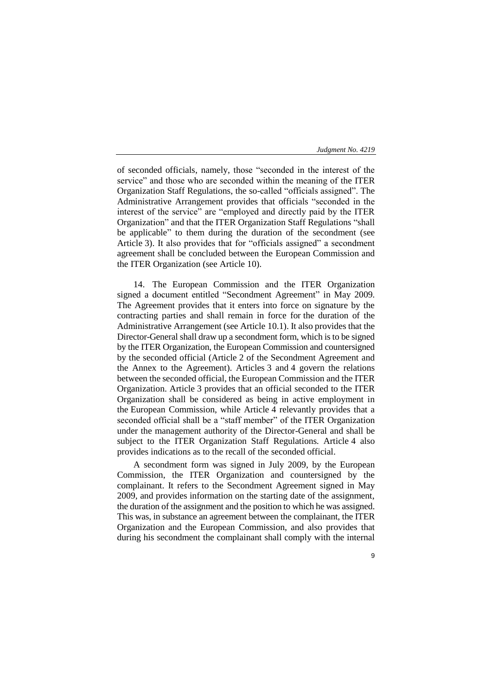of seconded officials, namely, those "seconded in the interest of the service" and those who are seconded within the meaning of the ITER Organization Staff Regulations, the so-called "officials assigned". The Administrative Arrangement provides that officials "seconded in the interest of the service" are "employed and directly paid by the ITER Organization" and that the ITER Organization Staff Regulations "shall be applicable" to them during the duration of the secondment (see Article 3). It also provides that for "officials assigned" a secondment agreement shall be concluded between the European Commission and the ITER Organization (see Article 10).

14. The European Commission and the ITER Organization signed a document entitled "Secondment Agreement" in May 2009. The Agreement provides that it enters into force on signature by the contracting parties and shall remain in force for the duration of the Administrative Arrangement (see Article 10.1). It also provides that the Director-General shall draw up a secondment form, which is to be signed by the ITER Organization, the European Commission and countersigned by the seconded official (Article 2 of the Secondment Agreement and the Annex to the Agreement). Articles 3 and 4 govern the relations between the seconded official, the European Commission and the ITER Organization. Article 3 provides that an official seconded to the ITER Organization shall be considered as being in active employment in the European Commission, while Article 4 relevantly provides that a seconded official shall be a "staff member" of the ITER Organization under the management authority of the Director-General and shall be subject to the ITER Organization Staff Regulations. Article 4 also provides indications as to the recall of the seconded official.

A secondment form was signed in July 2009, by the European Commission, the ITER Organization and countersigned by the complainant. It refers to the Secondment Agreement signed in May 2009, and provides information on the starting date of the assignment, the duration of the assignment and the position to which he was assigned. This was, in substance an agreement between the complainant, the ITER Organization and the European Commission, and also provides that during his secondment the complainant shall comply with the internal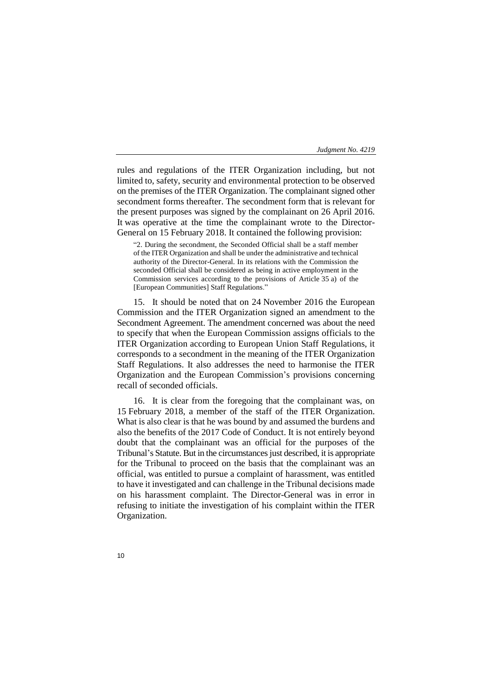rules and regulations of the ITER Organization including, but not limited to, safety, security and environmental protection to be observed on the premises of the ITER Organization. The complainant signed other secondment forms thereafter. The secondment form that is relevant for the present purposes was signed by the complainant on 26 April 2016. It was operative at the time the complainant wrote to the Director-General on 15 February 2018. It contained the following provision:

"2. During the secondment, the Seconded Official shall be a staff member of the ITER Organization and shall be under the administrative and technical authority of the Director-General. In its relations with the Commission the seconded Official shall be considered as being in active employment in the Commission services according to the provisions of Article 35 a) of the [European Communities] Staff Regulations."

15. It should be noted that on 24 November 2016 the European Commission and the ITER Organization signed an amendment to the Secondment Agreement. The amendment concerned was about the need to specify that when the European Commission assigns officials to the ITER Organization according to European Union Staff Regulations, it corresponds to a secondment in the meaning of the ITER Organization Staff Regulations. It also addresses the need to harmonise the ITER Organization and the European Commission's provisions concerning recall of seconded officials.

16. It is clear from the foregoing that the complainant was, on 15 February 2018, a member of the staff of the ITER Organization. What is also clear is that he was bound by and assumed the burdens and also the benefits of the 2017 Code of Conduct. It is not entirely beyond doubt that the complainant was an official for the purposes of the Tribunal's Statute. But in the circumstances just described, it is appropriate for the Tribunal to proceed on the basis that the complainant was an official, was entitled to pursue a complaint of harassment, was entitled to have it investigated and can challenge in the Tribunal decisions made on his harassment complaint. The Director-General was in error in refusing to initiate the investigation of his complaint within the ITER Organization.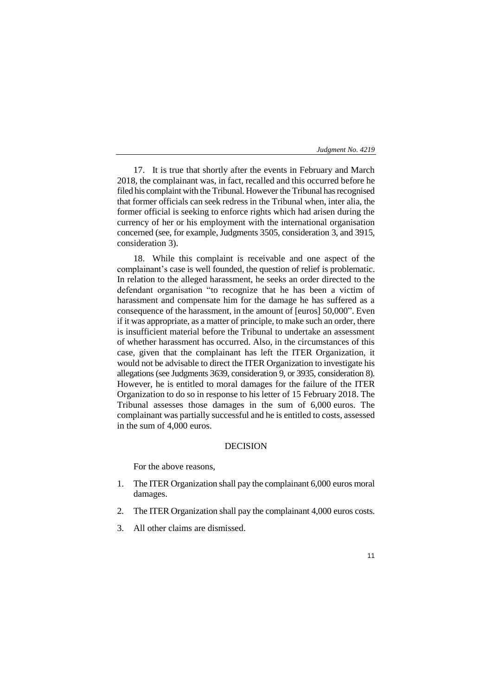17. It is true that shortly after the events in February and March 2018, the complainant was, in fact, recalled and this occurred before he filed his complaint with the Tribunal. However the Tribunal has recognised that former officials can seek redress in the Tribunal when, inter alia, the former official is seeking to enforce rights which had arisen during the currency of her or his employment with the international organisation concerned (see, for example, Judgments 3505, consideration 3, and 3915, consideration 3).

18. While this complaint is receivable and one aspect of the complainant's case is well founded, the question of relief is problematic. In relation to the alleged harassment, he seeks an order directed to the defendant organisation "to recognize that he has been a victim of harassment and compensate him for the damage he has suffered as a consequence of the harassment, in the amount of [euros] 50,000". Even if it was appropriate, as a matter of principle, to make such an order, there is insufficient material before the Tribunal to undertake an assessment of whether harassment has occurred. Also, in the circumstances of this case, given that the complainant has left the ITER Organization, it would not be advisable to direct the ITER Organization to investigate his allegations(see Judgments 3639, consideration 9, or 3935, consideration 8). However, he is entitled to moral damages for the failure of the ITER Organization to do so in response to his letter of 15 February 2018. The Tribunal assesses those damages in the sum of 6,000 euros. The complainant was partially successful and he is entitled to costs, assessed in the sum of 4,000 euros.

# DECISION

For the above reasons,

- 1. The ITER Organization shall pay the complainant 6,000 euros moral damages.
- 2. The ITER Organization shall pay the complainant 4,000 euros costs.
- 3. All other claims are dismissed.